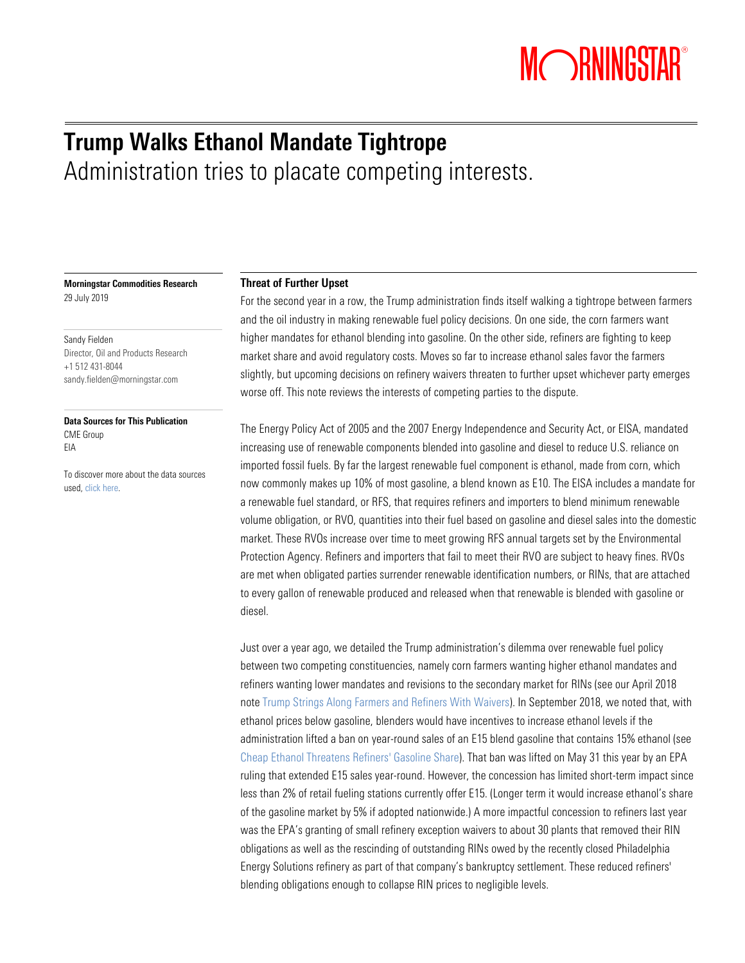# MORNINGSTAR®

### Trump Walks Ethanol Mandate Tightrope Administration tries to placate competing interests.

Morningstar Commodities Research 29 July 2019

Sandy Fielden Director, Oil and Products Research +1 512 431-8044 [sandy.fielden@morningstar.com](mailto:sandy.fielden@morningstar.com)

Data Sources for This Publication CME Group EIA

To discover more about the data sources used[, click here.](mailto:commoditydata-discover@morningstar.com?subject=Data%20Sources&body=Please%20send%20more%20information%20about%20data%20sources%20used%20in%20this%20publication&)

#### Threat of Further Upset

For the second year in a row, the Trump administration finds itself walking a tightrope between farmers and the oil industry in making renewable fuel policy decisions. On one side, the corn farmers want higher mandates for ethanol blending into gasoline. On the other side, refiners are fighting to keep market share and avoid regulatory costs. Moves so far to increase ethanol sales favor the farmers slightly, but upcoming decisions on refinery waivers threaten to further upset whichever party emerges worse off. This note reviews the interests of competing parties to the dispute.

The Energy Policy Act of 2005 and the 2007 Energy Independence and Security Act, or EISA, mandated increasing use of renewable components blended into gasoline and diesel to reduce U.S. reliance on imported fossil fuels. By far the largest renewable fuel component is ethanol, made from corn, which now commonly makes up 10% of most gasoline, a blend known as E10. The EISA includes a mandate for a renewable fuel standard, or RFS, that requires refiners and importers to blend minimum renewable volume obligation, or RVO, quantities into their fuel based on gasoline and diesel sales into the domestic market. These RVOs increase over time to meet growing RFS annual targets set by the Environmental Protection Agency. Refiners and importers that fail to meet their RVO are subject to heavy fines. RVOs are met when obligated parties surrender renewable identification numbers, or RINs, that are attached to every gallon of renewable produced and released when that renewable is blended with gasoline or diesel.

Just over a year ago, we detailed the Trump administration's dilemma over renewable fuel policy between two competing constituencies, namely corn farmers wanting higher ethanol mandates and refiners wanting lower mandates and revisions to the secondary market for RINs (see our April 2018 note [Trump Strings Along Farmers and Refiners With Waivers\)](http://research-reports-dev.morningstarcommodity.com/research-backup/trump-strings-along-farmers-and-refiners-with-waivers-FINAL.pdf). In September 2018, we noted that, with ethanol prices below gasoline, blenders would have incentives to increase ethanol levels if the administration lifted a ban on year-round sales of an E15 blend gasoline that contains 15% ethanol (see [Cheap Ethanol Threatens Refiners'](http://research-reports.morningstarcommodity.com/reportpdf/cheap-ethanol-threatens-refiner-s-gasoline-share-FINAL.pdf) Gasoline Share). That ban was lifted on May 31 this year by an EPA ruling that extended E15 sales year-round. However, the concession has limited short-term impact since less than 2% of retail fueling stations currently offer E15. (Longer term it would increase ethanol's share of the gasoline market by 5% if adopted nationwide.) A more impactful concession to refiners last year was the EPA's granting of small refinery exception waivers to about 30 plants that removed their RIN obligations as well as the rescinding of outstanding RINs owed by the recently closed Philadelphia Energy Solutions refinery as part of that company's bankruptcy settlement. These reduced refiners' blending obligations enough to collapse RIN prices to negligible levels.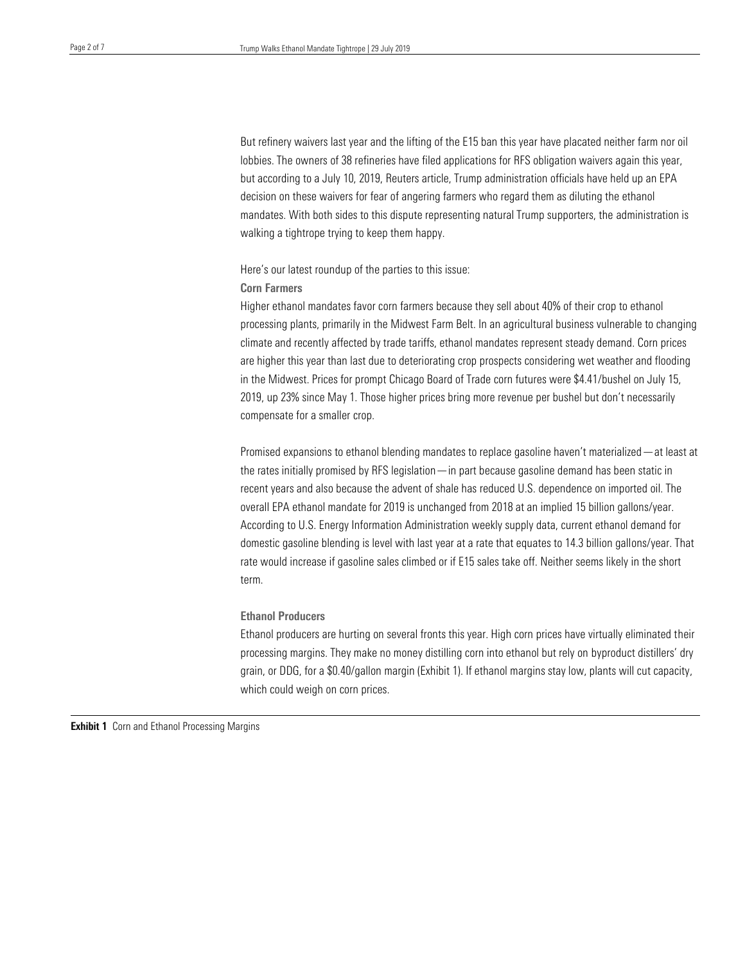But refinery waivers last year and the lifting of the E15 ban this year have placated neither farm nor oil lobbies. The owners of 38 refineries have filed applications for RFS obligation waivers again this year, but according to a July 10, 2019, Reuters article, Trump administration officials have held up an EPA decision on these waivers for fear of angering farmers who regard them as diluting the ethanol mandates. With both sides to this dispute representing natural Trump supporters, the administration is walking a tightrope trying to keep them happy.

Here's our latest roundup of the parties to this issue:

#### Corn Farmers

Higher ethanol mandates favor corn farmers because they sell about 40% of their crop to ethanol processing plants, primarily in the Midwest Farm Belt. In an agricultural business vulnerable to changing climate and recently affected by trade tariffs, ethanol mandates represent steady demand. Corn prices are higher this year than last due to deteriorating crop prospects considering wet weather and flooding in the Midwest. Prices for prompt Chicago Board of Trade corn futures were \$4.41/bushel on July 15, 2019, up 23% since May 1. Those higher prices bring more revenue per bushel but don't necessarily compensate for a smaller crop.

Promised expansions to ethanol blending mandates to replace gasoline haven't materialized—at least at the rates initially promised by RFS legislation—in part because gasoline demand has been static in recent years and also because the advent of shale has reduced U.S. dependence on imported oil. The overall EPA ethanol mandate for 2019 is unchanged from 2018 at an implied 15 billion gallons/year. According to U.S. Energy Information Administration weekly supply data, current ethanol demand for domestic gasoline blending is level with last year at a rate that equates to 14.3 billion gallons/year. That rate would increase if gasoline sales climbed or if E15 sales take off. Neither seems likely in the short term.

#### Ethanol Producers

Ethanol producers are hurting on several fronts this year. High corn prices have virtually eliminated their processing margins. They make no money distilling corn into ethanol but rely on byproduct distillers' dry grain, or DDG, for a \$0.40/gallon margin (Exhibit 1). If ethanol margins stay low, plants will cut capacity, which could weigh on corn prices.

**Exhibit 1** Corn and Ethanol Processing Margins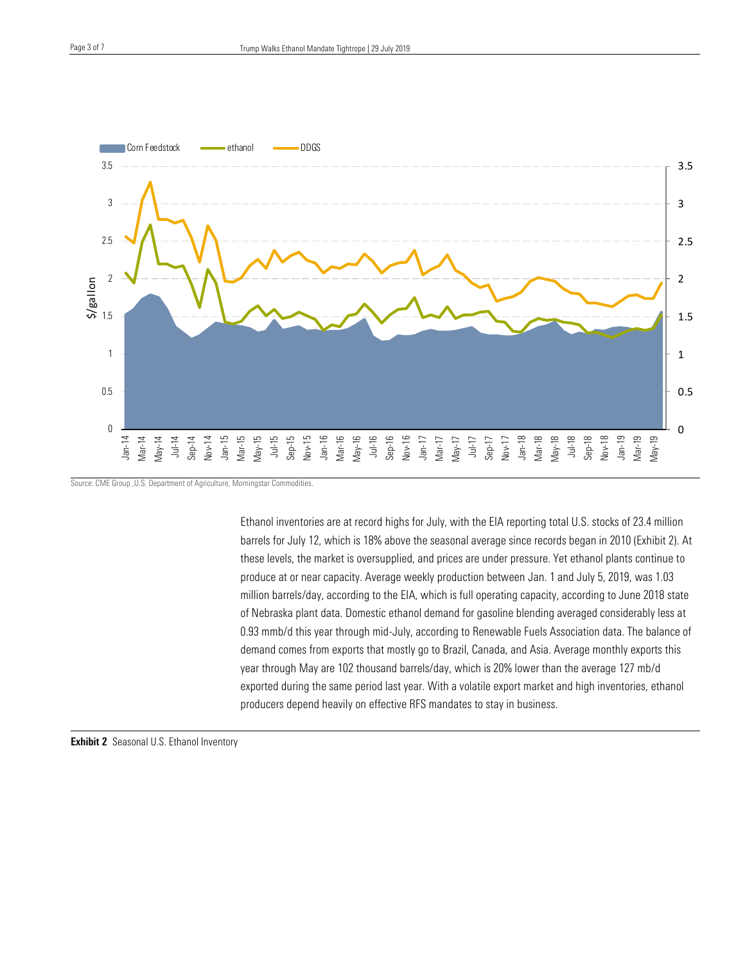

Source: CME Group ,U.S. Department of Agriculture, Morningstar Commodities.

Ethanol inventories are at record highs for July, with the EIA reporting total U.S. stocks of 23.4 million barrels for July 12, which is 18% above the seasonal average since records began in 2010 (Exhibit 2). At these levels, the market is oversupplied, and prices are under pressure. Yet ethanol plants continue to produce at or near capacity. Average weekly production between Jan. 1 and July 5, 2019, was 1.03 million barrels/day, according to the EIA, which is full operating capacity, according to June 2018 state of Nebraska plant data. Domestic ethanol demand for gasoline blending averaged considerably less at 0.93 mmb/d this year through mid-July, according to Renewable Fuels Association data. The balance of demand comes from exports that mostly go to Brazil, Canada, and Asia. Average monthly exports this year through May are 102 thousand barrels/day, which is 20% lower than the average 127 mb/d exported during the same period last year. With a volatile export market and high inventories, ethanol producers depend heavily on effective RFS mandates to stay in business.

Exhibit 2 Seasonal U.S. Ethanol Inventory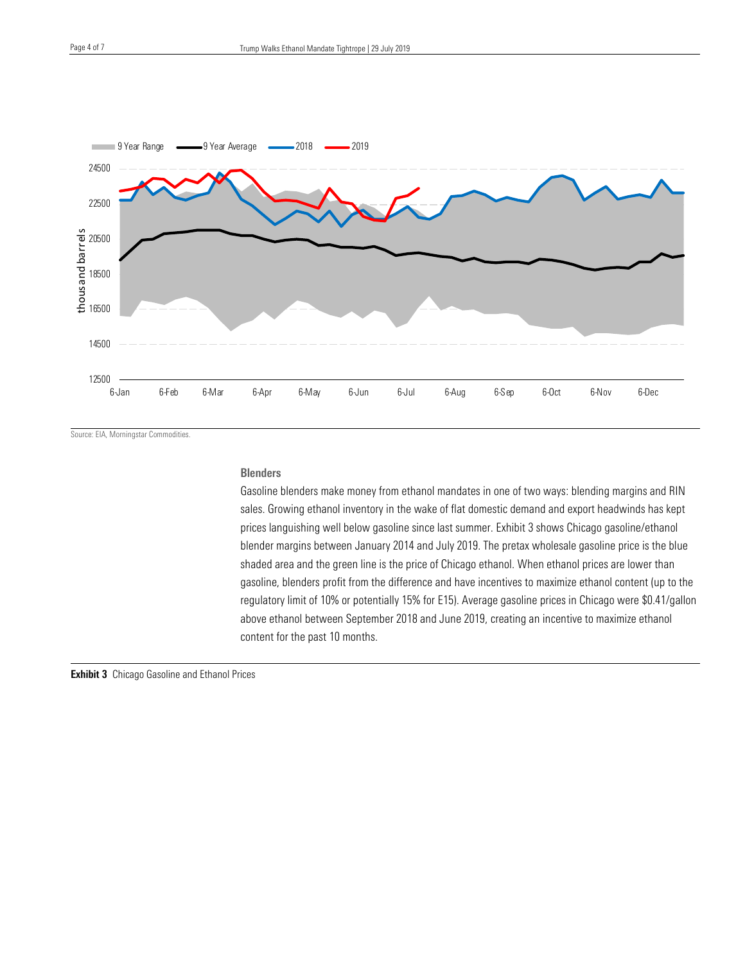

Source: EIA, Morningstar Commodities.

#### **Blenders**

Gasoline blenders make money from ethanol mandates in one of two ways: blending margins and RIN sales. Growing ethanol inventory in the wake of flat domestic demand and export headwinds has kept prices languishing well below gasoline since last summer. Exhibit 3 shows Chicago gasoline/ethanol blender margins between January 2014 and July 2019. The pretax wholesale gasoline price is the blue shaded area and the green line is the price of Chicago ethanol. When ethanol prices are lower than gasoline, blenders profit from the difference and have incentives to maximize ethanol content (up to the regulatory limit of 10% or potentially 15% for E15). Average gasoline prices in Chicago were \$0.41/gallon above ethanol between September 2018 and June 2019, creating an incentive to maximize ethanol content for the past 10 months.

**Exhibit 3** Chicago Gasoline and Ethanol Prices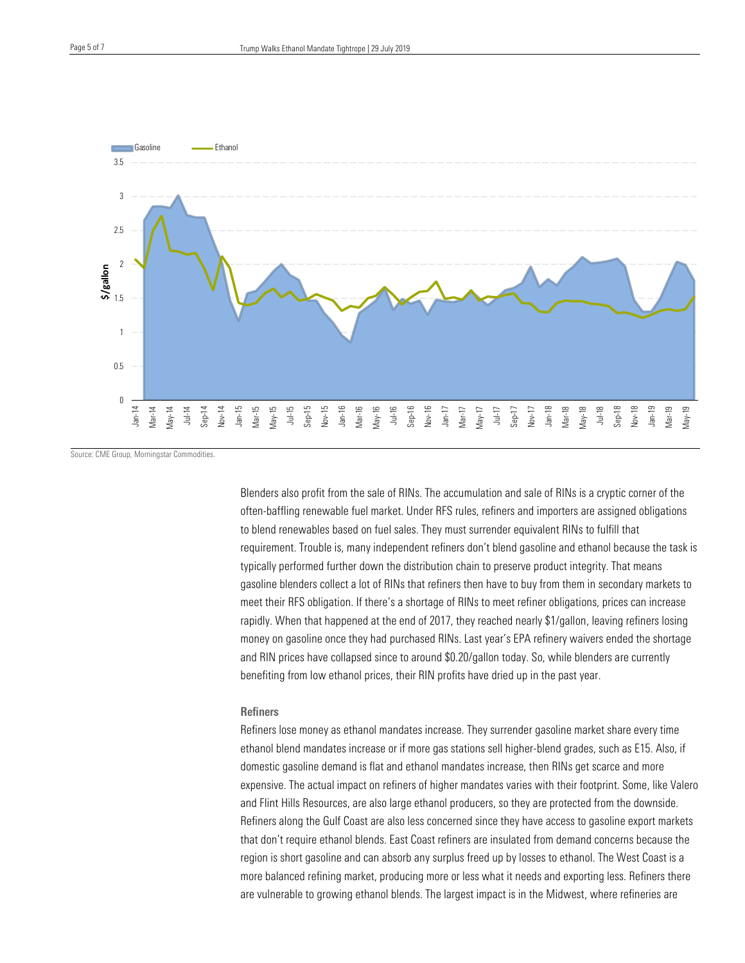

Source: CME Group, Morningstar Commodities.

Blenders also profit from the sale of RINs. The accumulation and sale of RINs is a cryptic corner of the often-baffling renewable fuel market. Under RFS rules, refiners and importers are assigned obligations to blend renewables based on fuel sales. They must surrender equivalent RINs to fulfill that requirement. Trouble is, many independent refiners don't blend gasoline and ethanol because the task is typically performed further down the distribution chain to preserve product integrity. That means gasoline blenders collect a lot of RINs that refiners then have to buy from them in secondary markets to meet their RFS obligation. If there's a shortage of RINs to meet refiner obligations, prices can increase rapidly. When that happened at the end of 2017, they reached nearly \$1/gallon, leaving refiners losing money on gasoline once they had purchased RINs. Last year's EPA refinery waivers ended the shortage and RIN prices have collapsed since to around \$0.20/gallon today. So, while blenders are currently benefiting from low ethanol prices, their RIN profits have dried up in the past year.

#### **Refiners**

Refiners lose money as ethanol mandates increase. They surrender gasoline market share every time ethanol blend mandates increase or if more gas stations sell higher-blend grades, such as E15. Also, if domestic gasoline demand is flat and ethanol mandates increase, then RINs get scarce and more expensive. The actual impact on refiners of higher mandates varies with their footprint. Some, like Valero and Flint Hills Resources, are also large ethanol producers, so they are protected from the downside. Refiners along the Gulf Coast are also less concerned since they have access to gasoline export markets that don't require ethanol blends. East Coast refiners are insulated from demand concerns because the region is short gasoline and can absorb any surplus freed up by losses to ethanol. The West Coast is a more balanced refining market, producing more or less what it needs and exporting less. Refiners there are vulnerable to growing ethanol blends. The largest impact is in the Midwest, where refineries are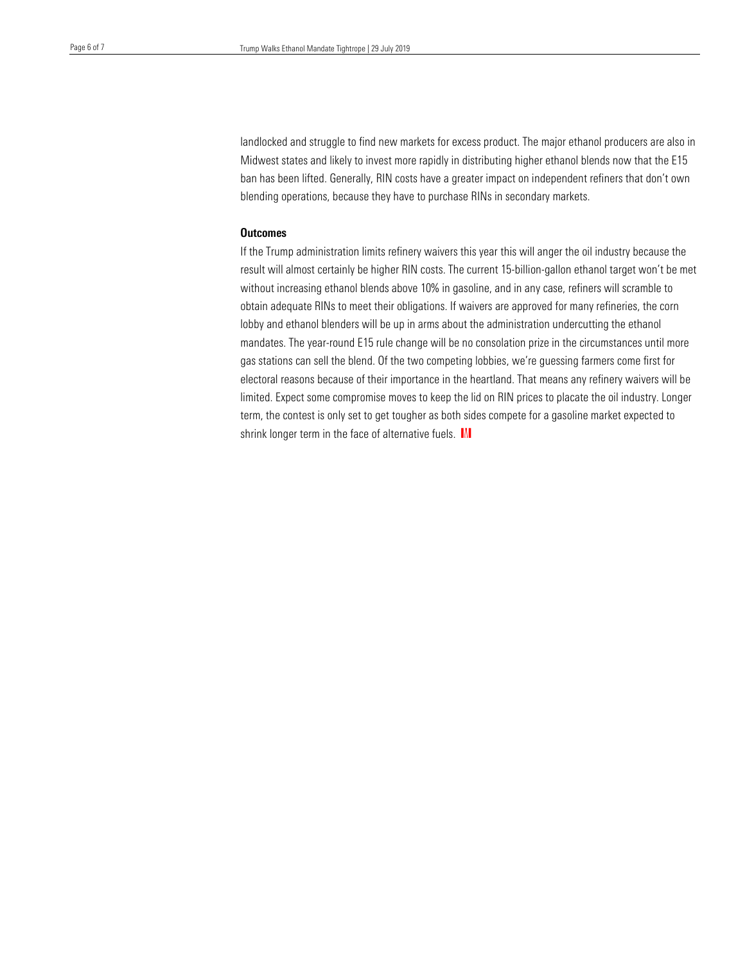landlocked and struggle to find new markets for excess product. The major ethanol producers are also in Midwest states and likely to invest more rapidly in distributing higher ethanol blends now that the E15 ban has been lifted. Generally, RIN costs have a greater impact on independent refiners that don't own blending operations, because they have to purchase RINs in secondary markets.

#### **Outcomes**

If the Trump administration limits refinery waivers this year this will anger the oil industry because the result will almost certainly be higher RIN costs. The current 15-billion-gallon ethanol target won't be met without increasing ethanol blends above 10% in gasoline, and in any case, refiners will scramble to obtain adequate RINs to meet their obligations. If waivers are approved for many refineries, the corn lobby and ethanol blenders will be up in arms about the administration undercutting the ethanol mandates. The year-round E15 rule change will be no consolation prize in the circumstances until more gas stations can sell the blend. Of the two competing lobbies, we're guessing farmers come first for electoral reasons because of their importance in the heartland. That means any refinery waivers will be limited. Expect some compromise moves to keep the lid on RIN prices to placate the oil industry. Longer term, the contest is only set to get tougher as both sides compete for a gasoline market expected to shrink longer term in the face of alternative fuels.  $M$